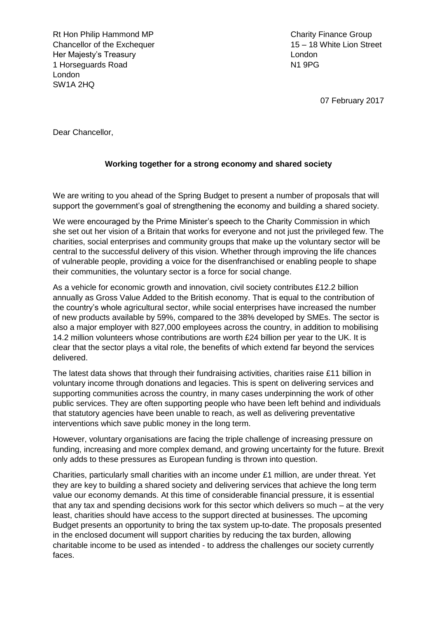Rt Hon Philip Hammond MP Charity Finance Group Chancellor of the Exchequer 15 – 18 White Lion Street Her Majesty"s Treasury London 1 Horseguards Road N1 9PG London SW1A 2HQ

07 February 2017

Dear Chancellor,

#### **Working together for a strong economy and shared society**

We are writing to you ahead of the Spring Budget to present a number of proposals that will support the government's goal of strengthening the economy and building a shared society.

We were encouraged by the Prime Minister's speech to the Charity Commission in which she set out her vision of a Britain that works for everyone and not just the privileged few. The charities, social enterprises and community groups that make up the voluntary sector will be central to the successful delivery of this vision. Whether through improving the life chances of vulnerable people, providing a voice for the disenfranchised or enabling people to shape their communities, the voluntary sector is a force for social change.

As a vehicle for economic growth and innovation, civil society contributes £12.2 billion annually as Gross Value Added to the British economy. That is equal to the contribution of the country"s whole agricultural sector, while social enterprises have increased the number of new products available by 59%, compared to the 38% developed by SMEs. The sector is also a major employer with 827,000 employees across the country, in addition to mobilising 14.2 million volunteers whose contributions are worth £24 billion per year to the UK. It is clear that the sector plays a vital role, the benefits of which extend far beyond the services delivered.

The latest data shows that through their fundraising activities, charities raise £11 billion in voluntary income through donations and legacies. This is spent on delivering services and supporting communities across the country, in many cases underpinning the work of other public services. They are often supporting people who have been left behind and individuals that statutory agencies have been unable to reach, as well as delivering preventative interventions which save public money in the long term.

However, voluntary organisations are facing the triple challenge of increasing pressure on funding, increasing and more complex demand, and growing uncertainty for the future. Brexit only adds to these pressures as European funding is thrown into question.

Charities, particularly small charities with an income under £1 million, are under threat. Yet they are key to building a shared society and delivering services that achieve the long term value our economy demands. At this time of considerable financial pressure, it is essential that any tax and spending decisions work for this sector which delivers so much – at the very least, charities should have access to the support directed at businesses. The upcoming Budget presents an opportunity to bring the tax system up-to-date. The proposals presented in the enclosed document will support charities by reducing the tax burden, allowing charitable income to be used as intended - to address the challenges our society currently faces.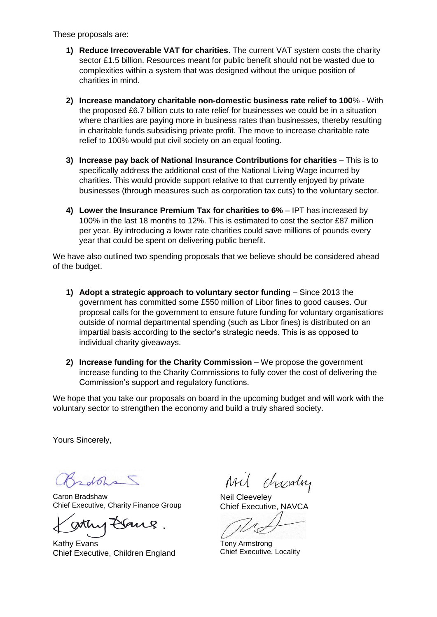These proposals are:

- **1) Reduce Irrecoverable VAT for charities**. The current VAT system costs the charity sector £1.5 billion. Resources meant for public benefit should not be wasted due to complexities within a system that was designed without the unique position of charities in mind.
- **2) Increase mandatory charitable non-domestic business rate relief to 100**% With the proposed £6.7 billion cuts to rate relief for businesses we could be in a situation where charities are paying more in business rates than businesses, thereby resulting in charitable funds subsidising private profit. The move to increase charitable rate relief to 100% would put civil society on an equal footing.
- **3) Increase pay back of National Insurance Contributions for charities** This is to specifically address the additional cost of the National Living Wage incurred by charities. This would provide support relative to that currently enjoyed by private businesses (through measures such as corporation tax cuts) to the voluntary sector.
- **4) Lower the Insurance Premium Tax for charities to 6%** IPT has increased by 100% in the last 18 months to 12%. This is estimated to cost the sector £87 million per year. By introducing a lower rate charities could save millions of pounds every year that could be spent on delivering public benefit.

We have also outlined two spending proposals that we believe should be considered ahead of the budget.

- **1) Adopt a strategic approach to voluntary sector funding** Since 2013 the government has committed some £550 million of Libor fines to good causes. Our proposal calls for the government to ensure future funding for voluntary organisations outside of normal departmental spending (such as Libor fines) is distributed on an impartial basis according to the sector's strategic needs. This is as opposed to individual charity giveaways.
- **2) Increase funding for the Charity Commission** We propose the government increase funding to the Charity Commissions to fully cover the cost of delivering the Commission"s support and regulatory functions.

We hope that you take our proposals on board in the upcoming budget and will work with the voluntary sector to strengthen the economy and build a truly shared society.

Yours Sincerely,

 $d\Omega$ 

Caron Bradshaw Chief Executive, Charity Finance Group

Kathy Evans Chief Executive, Children England

chrostry

Neil Cleeveley Chief Executive, NAVCA

Tony Armstrong Chief Executive, Locality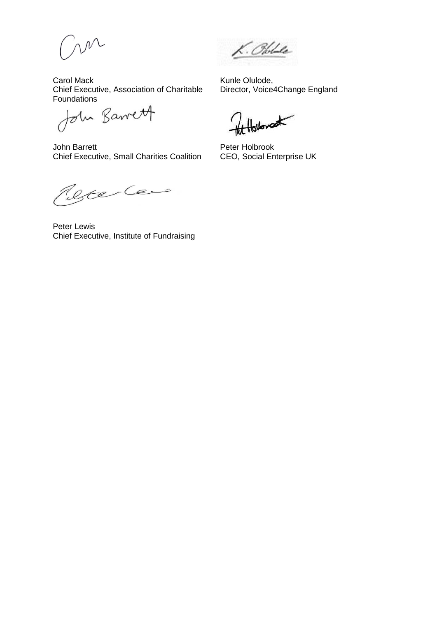m

Carol Mack Chief Executive, Association of Charitable

Foundations<br>John Barrett

John Barrett Chief Executive, Small Charities Coalition

K. Oble

Kunle Olulode, Director, Voice4Change England

Hollowat

Peter Holbrook CEO, Social Enterprise UK

Refer Cens

Peter Lewis Chief Executive, Institute of Fundraising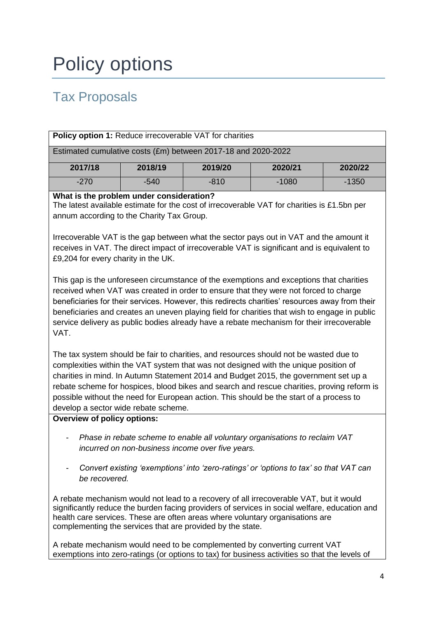# Policy options

# Tax Proposals

| <b>Policy option 1: Reduce irrecoverable VAT for charities</b> |         |         |         |         |
|----------------------------------------------------------------|---------|---------|---------|---------|
| Estimated cumulative costs (£m) between 2017-18 and 2020-2022  |         |         |         |         |
| 2017/18                                                        | 2018/19 | 2019/20 | 2020/21 | 2020/22 |
| $-270$                                                         | $-540$  | $-810$  | $-1080$ | $-1350$ |
|                                                                |         |         |         |         |

#### **What is the problem under consideration?**

The latest available estimate for the cost of irrecoverable VAT for charities is £1.5bn per annum according to the Charity Tax Group.

Irrecoverable VAT is the gap between what the sector pays out in VAT and the amount it receives in VAT. The direct impact of irrecoverable VAT is significant and is equivalent to £9,204 for every charity in the UK.

This gap is the unforeseen circumstance of the exemptions and exceptions that charities received when VAT was created in order to ensure that they were not forced to charge beneficiaries for their services. However, this redirects charities" resources away from their beneficiaries and creates an uneven playing field for charities that wish to engage in public service delivery as public bodies already have a rebate mechanism for their irrecoverable VAT.

The tax system should be fair to charities, and resources should not be wasted due to complexities within the VAT system that was not designed with the unique position of charities in mind. In Autumn Statement 2014 and Budget 2015, the government set up a rebate scheme for hospices, blood bikes and search and rescue charities, proving reform is possible without the need for European action. This should be the start of a process to develop a sector wide rebate scheme.

#### **Overview of policy options:**

- *Phase in rebate scheme to enable all voluntary organisations to reclaim VAT incurred on non-business income over five years.*
- *Convert existing 'exemptions' into 'zero-ratings' or 'options to tax' so that VAT can be recovered.*

A rebate mechanism would not lead to a recovery of all irrecoverable VAT, but it would significantly reduce the burden facing providers of services in social welfare, education and health care services. These are often areas where voluntary organisations are complementing the services that are provided by the state.

A rebate mechanism would need to be complemented by converting current VAT exemptions into zero-ratings (or options to tax) for business activities so that the levels of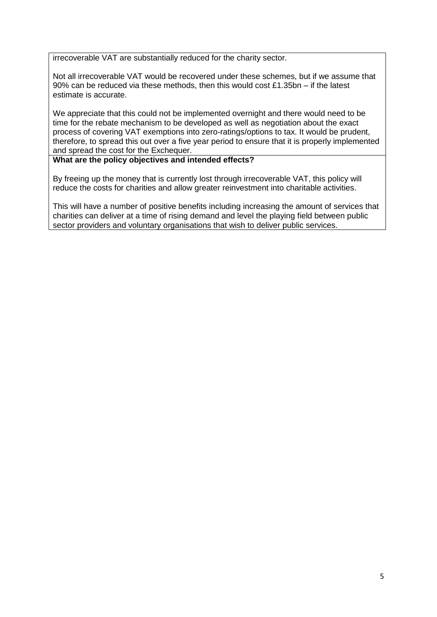irrecoverable VAT are substantially reduced for the charity sector.

Not all irrecoverable VAT would be recovered under these schemes, but if we assume that 90% can be reduced via these methods, then this would cost £1.35bn – if the latest estimate is accurate.

We appreciate that this could not be implemented overnight and there would need to be time for the rebate mechanism to be developed as well as negotiation about the exact process of covering VAT exemptions into zero-ratings/options to tax. It would be prudent, therefore, to spread this out over a five year period to ensure that it is properly implemented and spread the cost for the Exchequer.

### **What are the policy objectives and intended effects?**

By freeing up the money that is currently lost through irrecoverable VAT, this policy will reduce the costs for charities and allow greater reinvestment into charitable activities.

This will have a number of positive benefits including increasing the amount of services that charities can deliver at a time of rising demand and level the playing field between public sector providers and voluntary organisations that wish to deliver public services.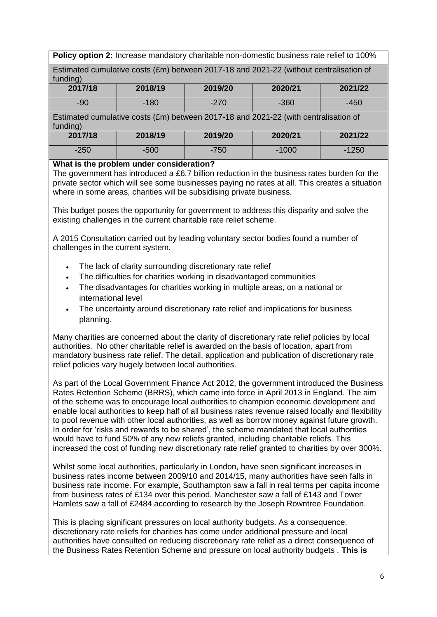**Policy option 2:** Increase mandatory charitable non-domestic business rate relief to 100%

Estimated cumulative costs (£m) between 2017-18 and 2021-22 (without centralisation of  $fundin<sub>d</sub>$ )

| 2017/18 | 2018/19 | 2019/20 | 2020/21 | 2021/22 |
|---------|---------|---------|---------|---------|
| $-90$   | $-180$  | $-270$  | $-360$  | $-450$  |

Estimated cumulative costs (£m) between 2017-18 and 2021-22 (with centralisation of funding)

| 2017/18 | 2018/19 | 2019/20 | 2020/21 | 2021/22 |
|---------|---------|---------|---------|---------|
| $-250$  | $-500$  | -750    | $-1000$ | $-1250$ |

#### **What is the problem under consideration?**

The government has introduced a £6.7 billion reduction in the business rates burden for the private sector which will see some businesses paying no rates at all. This creates a situation where in some areas, charities will be subsidising private business.

This budget poses the opportunity for government to address this disparity and solve the existing challenges in the current charitable rate relief scheme.

A 2015 Consultation carried out by leading voluntary sector bodies found a number of challenges in the current system.

- The lack of clarity surrounding discretionary rate relief
- The difficulties for charities working in disadvantaged communities
- The disadvantages for charities working in multiple areas, on a national or international level
- The uncertainty around discretionary rate relief and implications for business planning.

Many charities are concerned about the clarity of discretionary rate relief policies by local authorities. No other charitable relief is awarded on the basis of location, apart from mandatory business rate relief. The detail, application and publication of discretionary rate relief policies vary hugely between local authorities.

As part of the Local Government Finance Act 2012, the government introduced the Business Rates Retention Scheme (BRRS), which came into force in April 2013 in England. The aim of the scheme was to encourage local authorities to champion economic development and enable local authorities to keep half of all business rates revenue raised locally and flexibility to pool revenue with other local authorities, as well as borrow money against future growth. In order for "risks and rewards to be shared", the scheme mandated that local authorities would have to fund 50% of any new reliefs granted, including charitable reliefs. This increased the cost of funding new discretionary rate relief granted to charities by over 300%.

Whilst some local authorities, particularly in London, have seen significant increases in business rates income between 2009/10 and 2014/15, many authorities have seen falls in business rate income. For example, Southampton saw a fall in real terms per capita income from business rates of £134 over this period. Manchester saw a fall of £143 and Tower Hamlets saw a fall of £2484 according to research by the Joseph Rowntree Foundation.

This is placing significant pressures on local authority budgets. As a consequence, discretionary rate reliefs for charities has come under additional pressure and local authorities have consulted on reducing discretionary rate relief as a direct consequence of the Business Rates Retention Scheme and pressure on local authority budgets . **This is**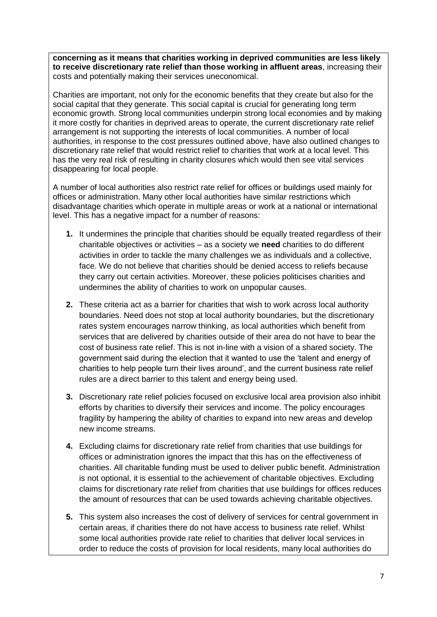**concerning as it means that charities working in deprived communities are less likely to receive discretionary rate relief than those working in affluent areas**, increasing their costs and potentially making their services uneconomical.

Charities are important, not only for the economic benefits that they create but also for the social capital that they generate. This social capital is crucial for generating long term economic growth. Strong local communities underpin strong local economies and by making it more costly for charities in deprived areas to operate, the current discretionary rate relief arrangement is not supporting the interests of local communities. A number of local authorities, in response to the cost pressures outlined above, have also outlined changes to discretionary rate relief that would restrict relief to charities that work at a local level. This has the very real risk of resulting in charity closures which would then see vital services disappearing for local people.

A number of local authorities also restrict rate relief for offices or buildings used mainly for offices or administration. Many other local authorities have similar restrictions which disadvantage charities which operate in multiple areas or work at a national or international level. This has a negative impact for a number of reasons:

- **1.** It undermines the principle that charities should be equally treated regardless of their charitable objectives or activities – as a society we **need** charities to do different activities in order to tackle the many challenges we as individuals and a collective, face. We do not believe that charities should be denied access to reliefs because they carry out certain activities. Moreover, these policies politicises charities and undermines the ability of charities to work on unpopular causes.
- **2.** These criteria act as a barrier for charities that wish to work across local authority boundaries. Need does not stop at local authority boundaries, but the discretionary rates system encourages narrow thinking, as local authorities which benefit from services that are delivered by charities outside of their area do not have to bear the cost of business rate relief. This is not in-line with a vision of a shared society. The government said during the election that it wanted to use the "talent and energy of charities to help people turn their lives around", and the current business rate relief rules are a direct barrier to this talent and energy being used.
- **3.** Discretionary rate relief policies focused on exclusive local area provision also inhibit efforts by charities to diversify their services and income. The policy encourages fragility by hampering the ability of charities to expand into new areas and develop new income streams.
- **4.** Excluding claims for discretionary rate relief from charities that use buildings for offices or administration ignores the impact that this has on the effectiveness of charities. All charitable funding must be used to deliver public benefit. Administration is not optional, it is essential to the achievement of charitable objectives. Excluding claims for discretionary rate relief from charities that use buildings for offices reduces the amount of resources that can be used towards achieving charitable objectives.
- **5.** This system also increases the cost of delivery of services for central government in certain areas, if charities there do not have access to business rate relief. Whilst some local authorities provide rate relief to charities that deliver local services in order to reduce the costs of provision for local residents, many local authorities do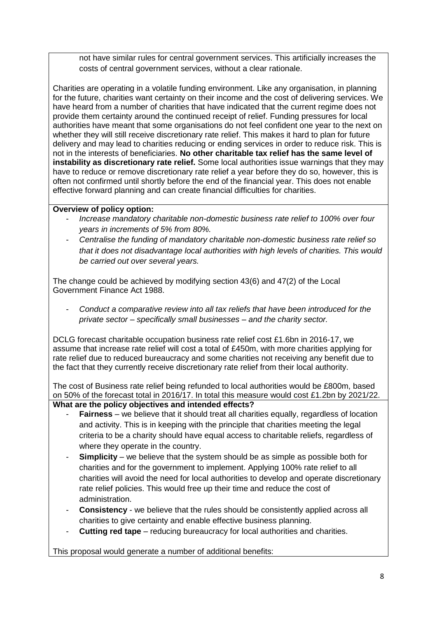not have similar rules for central government services. This artificially increases the costs of central government services, without a clear rationale.

Charities are operating in a volatile funding environment. Like any organisation, in planning for the future, charities want certainty on their income and the cost of delivering services. We have heard from a number of charities that have indicated that the current regime does not provide them certainty around the continued receipt of relief. Funding pressures for local authorities have meant that some organisations do not feel confident one year to the next on whether they will still receive discretionary rate relief. This makes it hard to plan for future delivery and may lead to charities reducing or ending services in order to reduce risk. This is not in the interests of beneficiaries. **No other charitable tax relief has the same level of instability as discretionary rate relief.** Some local authorities issue warnings that they may have to reduce or remove discretionary rate relief a year before they do so, however, this is often not confirmed until shortly before the end of the financial year. This does not enable effective forward planning and can create financial difficulties for charities.

# **Overview of policy option:**

- *Increase mandatory charitable non-domestic business rate relief to 100% over four years in increments of 5% from 80%.*
- *Centralise the funding of mandatory charitable non-domestic business rate relief so that it does not disadvantage local authorities with high levels of charities. This would be carried out over several years.*

The change could be achieved by modifying section 43(6) and 47(2) of the Local Government Finance Act 1988.

- *Conduct a comparative review into all tax reliefs that have been introduced for the private sector – specifically small businesses – and the charity sector.* 

DCLG forecast charitable occupation business rate relief cost £1.6bn in 2016-17, we assume that increase rate relief will cost a total of £450m, with more charities applying for rate relief due to reduced bureaucracy and some charities not receiving any benefit due to the fact that they currently receive discretionary rate relief from their local authority.

The cost of Business rate relief being refunded to local authorities would be £800m, based on 50% of the forecast total in 2016/17. In total this measure would cost £1.2bn by 2021/22.

# **What are the policy objectives and intended effects?**

- **Fairness** we believe that it should treat all charities equally, regardless of location and activity. This is in keeping with the principle that charities meeting the legal criteria to be a charity should have equal access to charitable reliefs, regardless of where they operate in the country.
- **Simplicity** we believe that the system should be as simple as possible both for charities and for the government to implement. Applying 100% rate relief to all charities will avoid the need for local authorities to develop and operate discretionary rate relief policies. This would free up their time and reduce the cost of administration.
- **Consistency** we believe that the rules should be consistently applied across all charities to give certainty and enable effective business planning.
- **Cutting red tape** reducing bureaucracy for local authorities and charities.

This proposal would generate a number of additional benefits: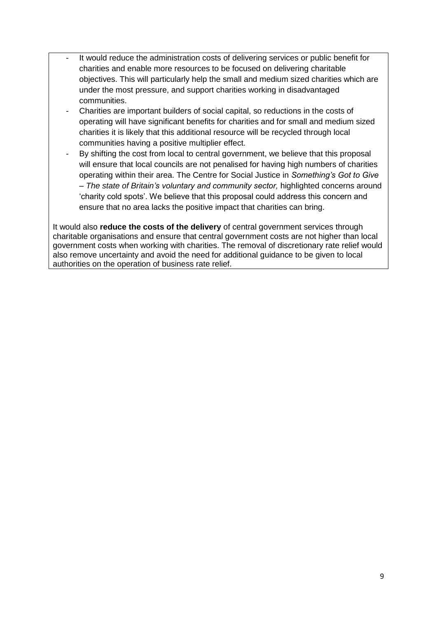- It would reduce the administration costs of delivering services or public benefit for charities and enable more resources to be focused on delivering charitable objectives. This will particularly help the small and medium sized charities which are under the most pressure, and support charities working in disadvantaged communities.
- Charities are important builders of social capital, so reductions in the costs of operating will have significant benefits for charities and for small and medium sized charities it is likely that this additional resource will be recycled through local communities having a positive multiplier effect.
- By shifting the cost from local to central government, we believe that this proposal will ensure that local councils are not penalised for having high numbers of charities operating within their area. The Centre for Social Justice in *Something's Got to Give – The state of Britain's voluntary and community sector,* highlighted concerns around "charity cold spots". We believe that this proposal could address this concern and ensure that no area lacks the positive impact that charities can bring.

It would also **reduce the costs of the delivery** of central government services through charitable organisations and ensure that central government costs are not higher than local government costs when working with charities. The removal of discretionary rate relief would also remove uncertainty and avoid the need for additional guidance to be given to local authorities on the operation of business rate relief.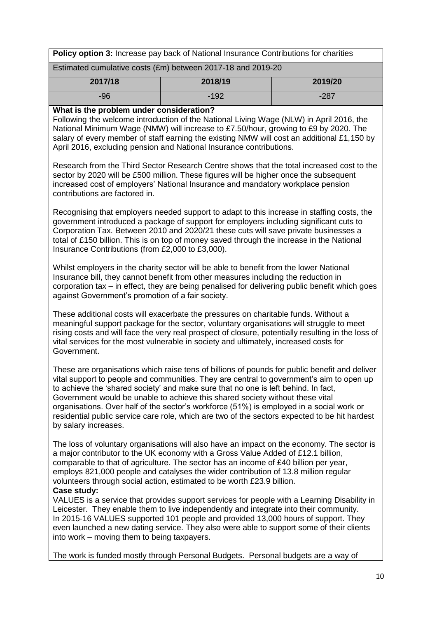| Policy option 3: Increase pay back of National Insurance Contributions for charities |                                                                                                                                                                                                                                                                                                                                                                                                                                                                                                                                                               |         |  |
|--------------------------------------------------------------------------------------|---------------------------------------------------------------------------------------------------------------------------------------------------------------------------------------------------------------------------------------------------------------------------------------------------------------------------------------------------------------------------------------------------------------------------------------------------------------------------------------------------------------------------------------------------------------|---------|--|
| Estimated cumulative costs (£m) between 2017-18 and 2019-20                          |                                                                                                                                                                                                                                                                                                                                                                                                                                                                                                                                                               |         |  |
| 2017/18                                                                              | 2018/19                                                                                                                                                                                                                                                                                                                                                                                                                                                                                                                                                       | 2019/20 |  |
| $-96$                                                                                | $-192$                                                                                                                                                                                                                                                                                                                                                                                                                                                                                                                                                        | $-287$  |  |
| What is the problem under consideration?                                             | Following the welcome introduction of the National Living Wage (NLW) in April 2016, the<br>National Minimum Wage (NMW) will increase to £7.50/hour, growing to £9 by 2020. The<br>salary of every member of staff earning the existing NMW will cost an additional £1,150 by<br>April 2016, excluding pension and National Insurance contributions.                                                                                                                                                                                                           |         |  |
| contributions are factored in.                                                       | Research from the Third Sector Research Centre shows that the total increased cost to the<br>sector by 2020 will be £500 million. These figures will be higher once the subsequent<br>increased cost of employers' National Insurance and mandatory workplace pension                                                                                                                                                                                                                                                                                         |         |  |
| Insurance Contributions (from £2,000 to £3,000).                                     | Recognising that employers needed support to adapt to this increase in staffing costs, the<br>government introduced a package of support for employers including significant cuts to<br>Corporation Tax. Between 2010 and 2020/21 these cuts will save private businesses a<br>total of £150 billion. This is on top of money saved through the increase in the National                                                                                                                                                                                      |         |  |
| against Government's promotion of a fair society.                                    | Whilst employers in the charity sector will be able to benefit from the lower National<br>Insurance bill, they cannot benefit from other measures including the reduction in<br>corporation tax – in effect, they are being penalised for delivering public benefit which goes                                                                                                                                                                                                                                                                                |         |  |
| Government.                                                                          | These additional costs will exacerbate the pressures on charitable funds. Without a<br>meaningful support package for the sector, voluntary organisations will struggle to meet<br>rising costs and will face the very real prospect of closure, potentially resulting in the loss of<br>vital services for the most vulnerable in society and ultimately, increased costs for                                                                                                                                                                                |         |  |
| by salary increases.                                                                 | These are organisations which raise tens of billions of pounds for public benefit and deliver<br>vital support to people and communities. They are central to government's aim to open up<br>to achieve the 'shared society' and make sure that no one is left behind. In fact,<br>Government would be unable to achieve this shared society without these vital<br>organisations. Over half of the sector's workforce (51%) is employed in a social work or<br>residential public service care role, which are two of the sectors expected to be hit hardest |         |  |
|                                                                                      | The loss of voluntary organisations will also have an impact on the economy. The sector is<br>a major contributor to the UK economy with a Gross Value Added of £12.1 billion,<br>comparable to that of agriculture. The sector has an income of £40 billion per year,<br>employs 821,000 people and catalyses the wider contribution of 13.8 million regular<br>volunteers through social action, estimated to be worth £23.9 billion.                                                                                                                       |         |  |
| Case study:<br>into work – moving them to being taxpayers.                           | VALUES is a service that provides support services for people with a Learning Disability in<br>Leicester. They enable them to live independently and integrate into their community.<br>In 2015-16 VALUES supported 101 people and provided 13,000 hours of support. They<br>even launched a new dating service. They also were able to support some of their clients                                                                                                                                                                                         |         |  |
|                                                                                      | The work is funded mostly through Personal Budgets. Personal budgets are a way of                                                                                                                                                                                                                                                                                                                                                                                                                                                                             |         |  |
|                                                                                      |                                                                                                                                                                                                                                                                                                                                                                                                                                                                                                                                                               | 10      |  |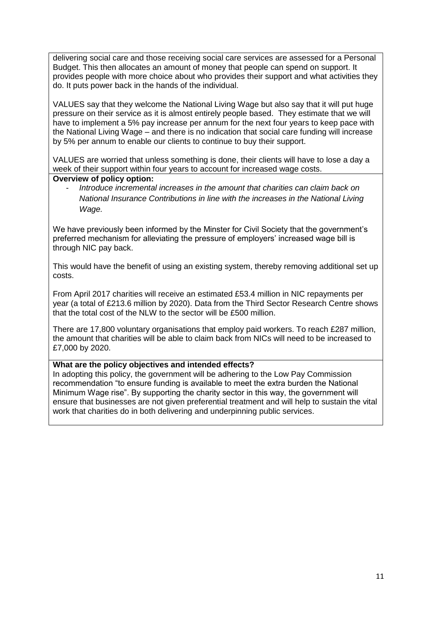delivering social care and those receiving social care services are assessed for a Personal Budget. This then allocates an amount of money that people can spend on support. It provides people with more choice about who provides their support and what activities they do. It puts power back in the hands of the individual.

VALUES say that they welcome the National Living Wage but also say that it will put huge pressure on their service as it is almost entirely people based. They estimate that we will have to implement a 5% pay increase per annum for the next four years to keep pace with the National Living Wage – and there is no indication that social care funding will increase by 5% per annum to enable our clients to continue to buy their support.

VALUES are worried that unless something is done, their clients will have to lose a day a week of their support within four years to account for increased wage costs.

#### **Overview of policy option:**

- *Introduce incremental increases in the amount that charities can claim back on National Insurance Contributions in line with the increases in the National Living Wage.*

We have previously been informed by the Minster for Civil Society that the government's preferred mechanism for alleviating the pressure of employers" increased wage bill is through NIC pay back.

This would have the benefit of using an existing system, thereby removing additional set up costs.

From April 2017 charities will receive an estimated £53.4 million in NIC repayments per year (a total of £213.6 million by 2020). Data from the Third Sector Research Centre shows that the total cost of the NLW to the sector will be £500 million.

There are 17,800 voluntary organisations that employ paid workers. To reach £287 million, the amount that charities will be able to claim back from NICs will need to be increased to £7,000 by 2020.

# **What are the policy objectives and intended effects?**

In adopting this policy, the government will be adhering to the Low Pay Commission recommendation "to ensure funding is available to meet the extra burden the National Minimum Wage rise". By supporting the charity sector in this way, the government will ensure that businesses are not given preferential treatment and will help to sustain the vital work that charities do in both delivering and underpinning public services.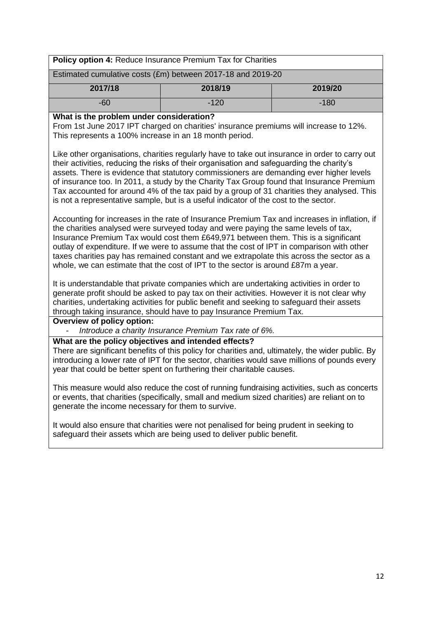|                                                             | <b>Policy option 4: Reduce Insurance Premium Tax for Charities</b> |         |  |
|-------------------------------------------------------------|--------------------------------------------------------------------|---------|--|
| Estimated cumulative costs (£m) between 2017-18 and 2019-20 |                                                                    |         |  |
| 2017/18                                                     | 2018/19                                                            | 2019/20 |  |
| -60                                                         | $-120$                                                             | $-180$  |  |
|                                                             |                                                                    |         |  |

#### **What is the problem under consideration?**

From 1st June 2017 IPT charged on charities' insurance premiums will increase to 12%. This represents a 100% increase in an 18 month period.

Like other organisations, charities regularly have to take out insurance in order to carry out their activities, reducing the risks of their organisation and safeguarding the charity"s assets. There is evidence that statutory commissioners are demanding ever higher levels of insurance too. In 2011, a study by the Charity Tax Group found that Insurance Premium Tax accounted for around 4% of the tax paid by a group of 31 charities they analysed. This is not a representative sample, but is a useful indicator of the cost to the sector.

Accounting for increases in the rate of Insurance Premium Tax and increases in inflation, if the charities analysed were surveyed today and were paying the same levels of tax, Insurance Premium Tax would cost them £649,971 between them. This is a significant outlay of expenditure. If we were to assume that the cost of IPT in comparison with other taxes charities pay has remained constant and we extrapolate this across the sector as a whole, we can estimate that the cost of IPT to the sector is around £87m a year.

It is understandable that private companies which are undertaking activities in order to generate profit should be asked to pay tax on their activities. However it is not clear why charities, undertaking activities for public benefit and seeking to safeguard their assets through taking insurance, should have to pay Insurance Premium Tax.

#### **Overview of policy option:**

- *Introduce a charity Insurance Premium Tax rate of 6%.*

#### **What are the policy objectives and intended effects?**

There are significant benefits of this policy for charities and, ultimately, the wider public. By introducing a lower rate of IPT for the sector, charities would save millions of pounds every year that could be better spent on furthering their charitable causes.

This measure would also reduce the cost of running fundraising activities, such as concerts or events, that charities (specifically, small and medium sized charities) are reliant on to generate the income necessary for them to survive.

It would also ensure that charities were not penalised for being prudent in seeking to safeguard their assets which are being used to deliver public benefit.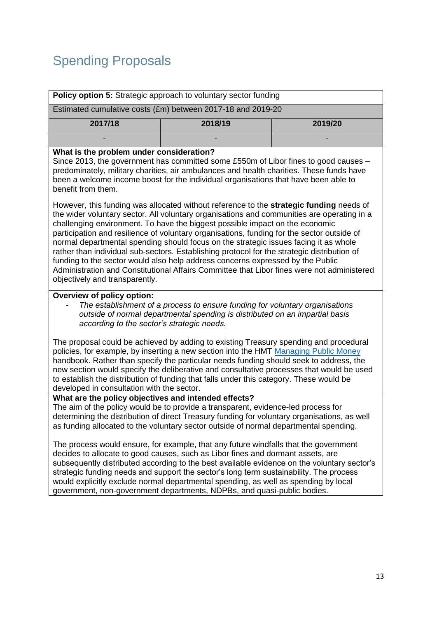# Spending Proposals

|                                          | <b>Policy option 5:</b> Strategic approach to voluntary sector funding |         |
|------------------------------------------|------------------------------------------------------------------------|---------|
|                                          | Estimated cumulative costs (£m) between 2017-18 and 2019-20            |         |
| 2017/18                                  | 2018/19                                                                | 2019/20 |
|                                          |                                                                        |         |
| What is the problem under consideration? |                                                                        |         |

Since 2013, the government has committed some £550m of Libor fines to good causes – predominately, military charities, air ambulances and health charities. These funds have been a welcome income boost for the individual organisations that have been able to benefit from them.

However, this funding was allocated without reference to the **strategic funding** needs of the wider voluntary sector. All voluntary organisations and communities are operating in a challenging environment. To have the biggest possible impact on the economic participation and resilience of voluntary organisations, funding for the sector outside of normal departmental spending should focus on the strategic issues facing it as whole rather than individual sub-sectors. Establishing protocol for the strategic distribution of funding to the sector would also help address concerns expressed by the Public Administration and Constitutional Affairs Committee that Libor fines were not administered objectively and transparently.

#### **Overview of policy option:**

- *The establishment of a process to ensure funding for voluntary organisations outside of normal departmental spending is distributed on an impartial basis according to the sector's strategic needs.*

The proposal could be achieved by adding to existing Treasury spending and procedural policies, for example, by inserting a new section into the HMT [Managing Public Money](https://www.gov.uk/government/publications/managing-public-money) handbook. Rather than specify the particular needs funding should seek to address, the new section would specify the deliberative and consultative processes that would be used to establish the distribution of funding that falls under this category. These would be developed in consultation with the sector.

# **What are the policy objectives and intended effects?**

The aim of the policy would be to provide a transparent, evidence-led process for determining the distribution of direct Treasury funding for voluntary organisations, as well as funding allocated to the voluntary sector outside of normal departmental spending.

The process would ensure, for example, that any future windfalls that the government decides to allocate to good causes, such as Libor fines and dormant assets, are subsequently distributed according to the best available evidence on the voluntary sector's strategic funding needs and support the sector's long term sustainability. The process would explicitly exclude normal departmental spending, as well as spending by local government, non-government departments, NDPBs, and quasi-public bodies.